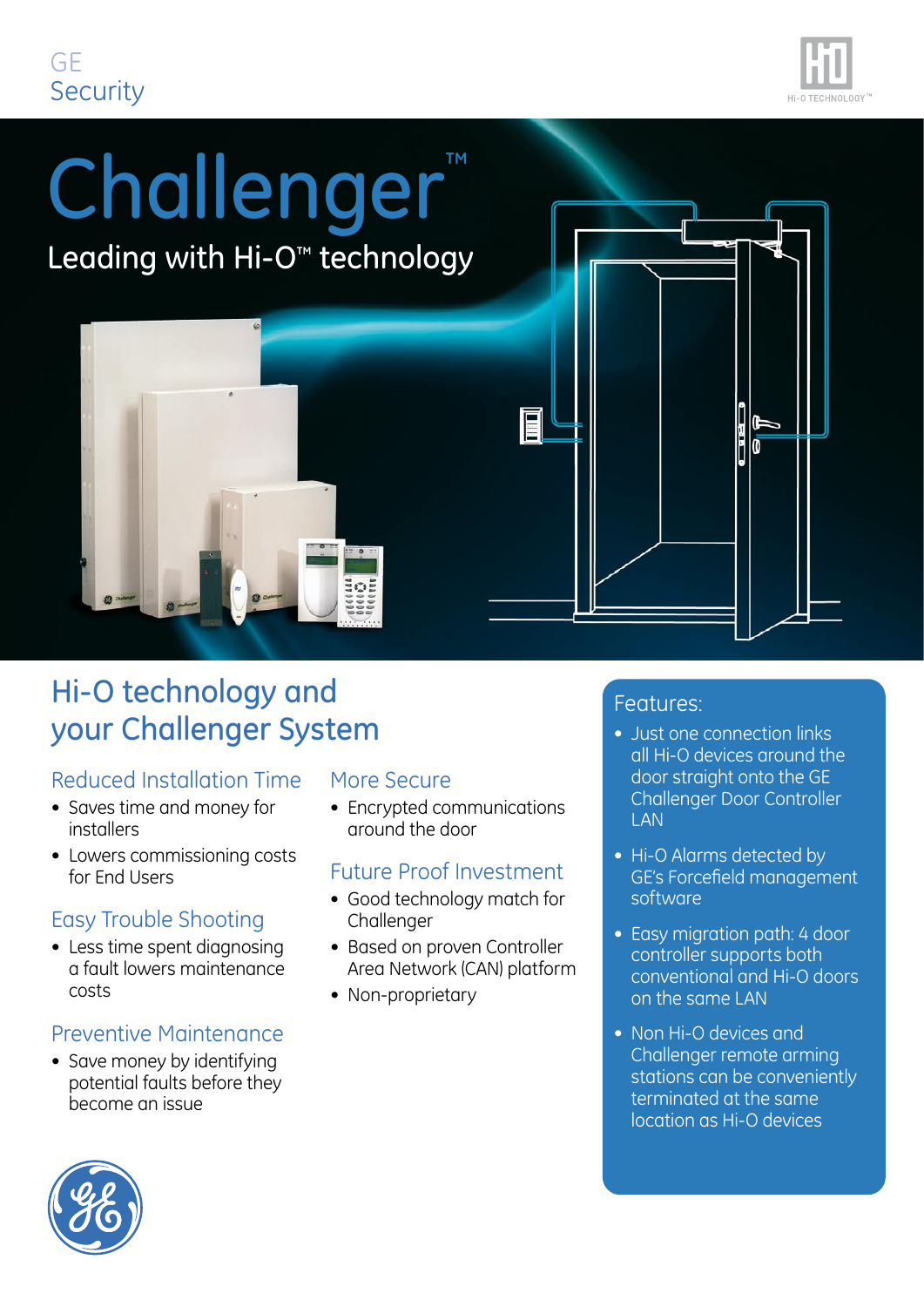## GE **Security**



# Challenger™ Leading with Hi-O<sup>™</sup> technology E

ទី២និ

## Hi-O technology and your Challenger System

#### Reduced Installation Time

- Saves time and money for installers
- Lowers commissioning costs for End Users

#### Easy Trouble Shooting

• Less time spent diagnosing a fault lowers maintenance costs

#### Preventive Maintenance

• Save money by identifying potential faults before they become an issue

#### More Secure

• Encrypted communications around the door

#### Future Proof Investment

- Good technology match for Challenger
- Based on proven Controller Area Network (CAN) platform
- Non-proprietary

#### Features:

- Just one connection links all Hi-O devices around the door straight onto the GE Challenger Door Controller **LAN**
- Hi-O Alarms detected by GE's Forcefield management software
- Easy migration path: 4 door controller supports both conventional and Hi-O doors on the same LAN
- Non Hi-O devices and Challenger remote arming stations can be conveniently terminated at the same location as Hi-O devices